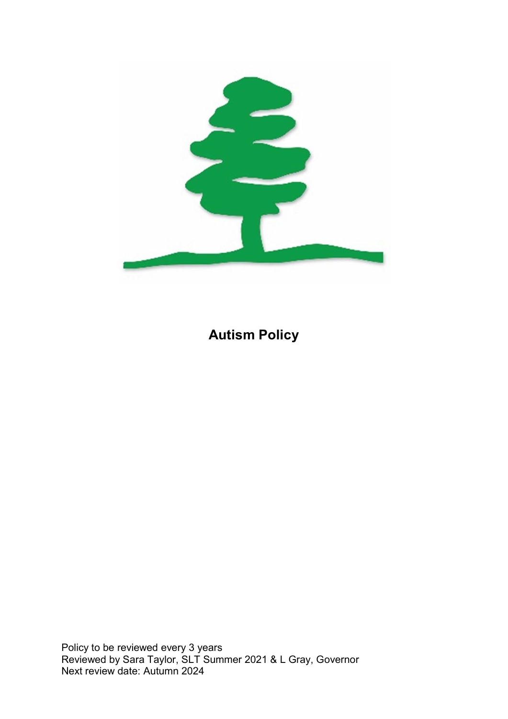

# Autism Policy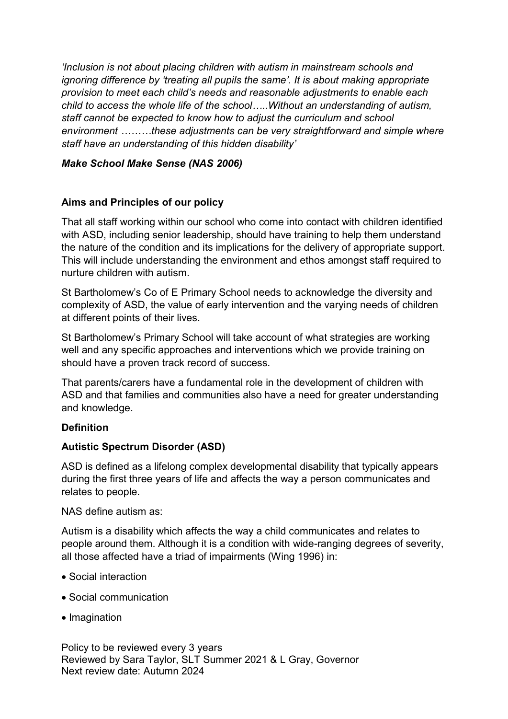'Inclusion is not about placing children with autism in mainstream schools and ignoring difference by 'treating all pupils the same'. It is about making appropriate provision to meet each child's needs and reasonable adjustments to enable each child to access the whole life of the school…..Without an understanding of autism, staff cannot be expected to know how to adjust the curriculum and school environment ………these adjustments can be very straightforward and simple where staff have an understanding of this hidden disability'

# Make School Make Sense (NAS 2006)

# Aims and Principles of our policy

That all staff working within our school who come into contact with children identified with ASD, including senior leadership, should have training to help them understand the nature of the condition and its implications for the delivery of appropriate support. This will include understanding the environment and ethos amongst staff required to nurture children with autism.

St Bartholomew's Co of E Primary School needs to acknowledge the diversity and complexity of ASD, the value of early intervention and the varying needs of children at different points of their lives.

St Bartholomew's Primary School will take account of what strategies are working well and any specific approaches and interventions which we provide training on should have a proven track record of success.

That parents/carers have a fundamental role in the development of children with ASD and that families and communities also have a need for greater understanding and knowledge.

# **Definition**

# Autistic Spectrum Disorder (ASD)

ASD is defined as a lifelong complex developmental disability that typically appears during the first three years of life and affects the way a person communicates and relates to people.

# NAS define autism as:

Autism is a disability which affects the way a child communicates and relates to people around them. Although it is a condition with wide-ranging degrees of severity, all those affected have a triad of impairments (Wing 1996) in:

- Social interaction
- Social communication
- Imagination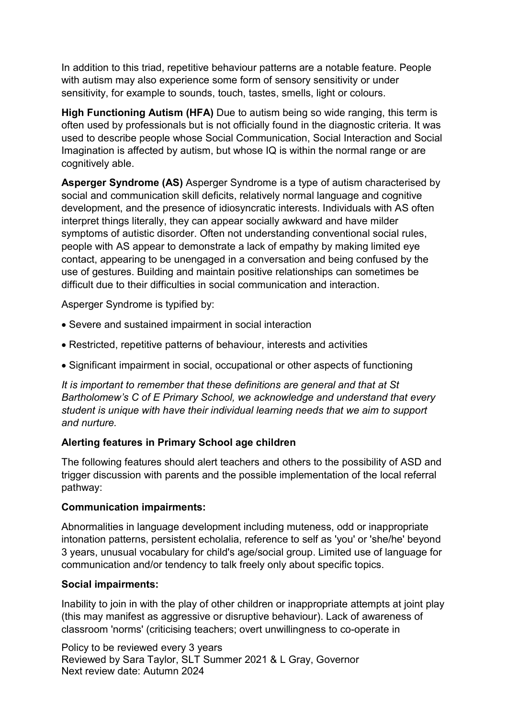In addition to this triad, repetitive behaviour patterns are a notable feature. People with autism may also experience some form of sensory sensitivity or under sensitivity, for example to sounds, touch, tastes, smells, light or colours.

High Functioning Autism (HFA) Due to autism being so wide ranging, this term is often used by professionals but is not officially found in the diagnostic criteria. It was used to describe people whose Social Communication, Social Interaction and Social Imagination is affected by autism, but whose IQ is within the normal range or are cognitively able.

Asperger Syndrome (AS) Asperger Syndrome is a type of autism characterised by social and communication skill deficits, relatively normal language and cognitive development, and the presence of idiosyncratic interests. Individuals with AS often interpret things literally, they can appear socially awkward and have milder symptoms of autistic disorder. Often not understanding conventional social rules, people with AS appear to demonstrate a lack of empathy by making limited eye contact, appearing to be unengaged in a conversation and being confused by the use of gestures. Building and maintain positive relationships can sometimes be difficult due to their difficulties in social communication and interaction.

Asperger Syndrome is typified by:

- Severe and sustained impairment in social interaction
- Restricted, repetitive patterns of behaviour, interests and activities
- Significant impairment in social, occupational or other aspects of functioning

It is important to remember that these definitions are general and that at St Bartholomew's C of E Primary School, we acknowledge and understand that every student is unique with have their individual learning needs that we aim to support and nurture.

# Alerting features in Primary School age children

The following features should alert teachers and others to the possibility of ASD and trigger discussion with parents and the possible implementation of the local referral pathway:

# Communication impairments:

Abnormalities in language development including muteness, odd or inappropriate intonation patterns, persistent echolalia, reference to self as 'you' or 'she/he' beyond 3 years, unusual vocabulary for child's age/social group. Limited use of language for communication and/or tendency to talk freely only about specific topics.

# Social impairments:

Inability to join in with the play of other children or inappropriate attempts at joint play (this may manifest as aggressive or disruptive behaviour). Lack of awareness of classroom 'norms' (criticising teachers; overt unwillingness to co-operate in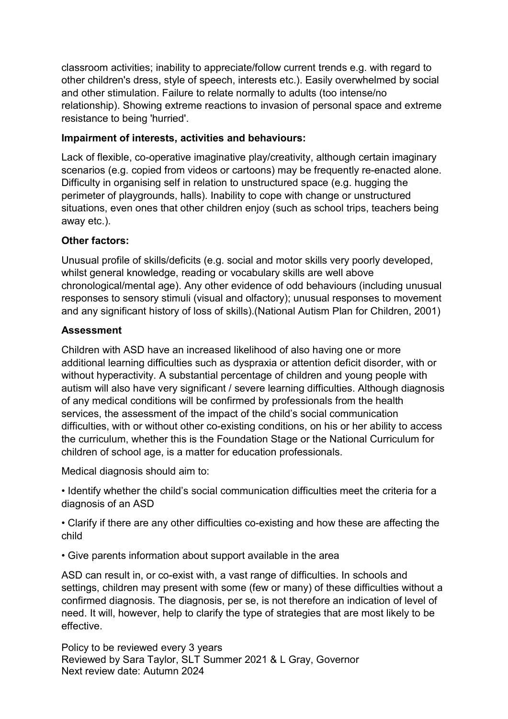classroom activities; inability to appreciate/follow current trends e.g. with regard to other children's dress, style of speech, interests etc.). Easily overwhelmed by social and other stimulation. Failure to relate normally to adults (too intense/no relationship). Showing extreme reactions to invasion of personal space and extreme resistance to being 'hurried'.

# Impairment of interests, activities and behaviours:

Lack of flexible, co-operative imaginative play/creativity, although certain imaginary scenarios (e.g. copied from videos or cartoons) may be frequently re-enacted alone. Difficulty in organising self in relation to unstructured space (e.g. hugging the perimeter of playgrounds, halls). Inability to cope with change or unstructured situations, even ones that other children enjoy (such as school trips, teachers being away etc.).

# Other factors:

Unusual profile of skills/deficits (e.g. social and motor skills very poorly developed, whilst general knowledge, reading or vocabulary skills are well above chronological/mental age). Any other evidence of odd behaviours (including unusual responses to sensory stimuli (visual and olfactory); unusual responses to movement and any significant history of loss of skills).(National Autism Plan for Children, 2001)

# Assessment

Children with ASD have an increased likelihood of also having one or more additional learning difficulties such as dyspraxia or attention deficit disorder, with or without hyperactivity. A substantial percentage of children and young people with autism will also have very significant / severe learning difficulties. Although diagnosis of any medical conditions will be confirmed by professionals from the health services, the assessment of the impact of the child's social communication difficulties, with or without other co-existing conditions, on his or her ability to access the curriculum, whether this is the Foundation Stage or the National Curriculum for children of school age, is a matter for education professionals.

Medical diagnosis should aim to:

• Identify whether the child's social communication difficulties meet the criteria for a diagnosis of an ASD

• Clarify if there are any other difficulties co-existing and how these are affecting the child

• Give parents information about support available in the area

ASD can result in, or co-exist with, a vast range of difficulties. In schools and settings, children may present with some (few or many) of these difficulties without a confirmed diagnosis. The diagnosis, per se, is not therefore an indication of level of need. It will, however, help to clarify the type of strategies that are most likely to be effective.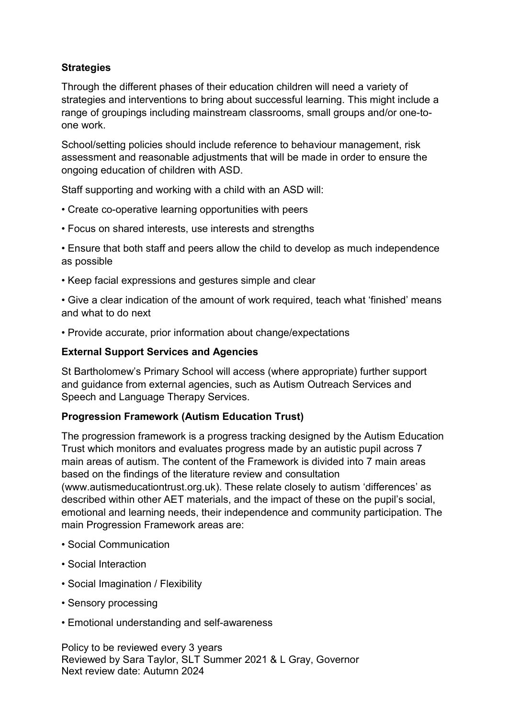# **Strategies**

Through the different phases of their education children will need a variety of strategies and interventions to bring about successful learning. This might include a range of groupings including mainstream classrooms, small groups and/or one-toone work.

School/setting policies should include reference to behaviour management, risk assessment and reasonable adjustments that will be made in order to ensure the ongoing education of children with ASD.

Staff supporting and working with a child with an ASD will:

- Create co-operative learning opportunities with peers
- Focus on shared interests, use interests and strengths

• Ensure that both staff and peers allow the child to develop as much independence as possible

• Keep facial expressions and gestures simple and clear

• Give a clear indication of the amount of work required, teach what 'finished' means and what to do next

• Provide accurate, prior information about change/expectations

# External Support Services and Agencies

St Bartholomew's Primary School will access (where appropriate) further support and guidance from external agencies, such as Autism Outreach Services and Speech and Language Therapy Services.

# Progression Framework (Autism Education Trust)

The progression framework is a progress tracking designed by the Autism Education Trust which monitors and evaluates progress made by an autistic pupil across 7 main areas of autism. The content of the Framework is divided into 7 main areas based on the findings of the literature review and consultation

(www.autismeducationtrust.org.uk). These relate closely to autism 'differences' as described within other AET materials, and the impact of these on the pupil's social, emotional and learning needs, their independence and community participation. The main Progression Framework areas are:

- Social Communication
- Social Interaction
- Social Imagination / Flexibility
- Sensory processing
- Emotional understanding and self-awareness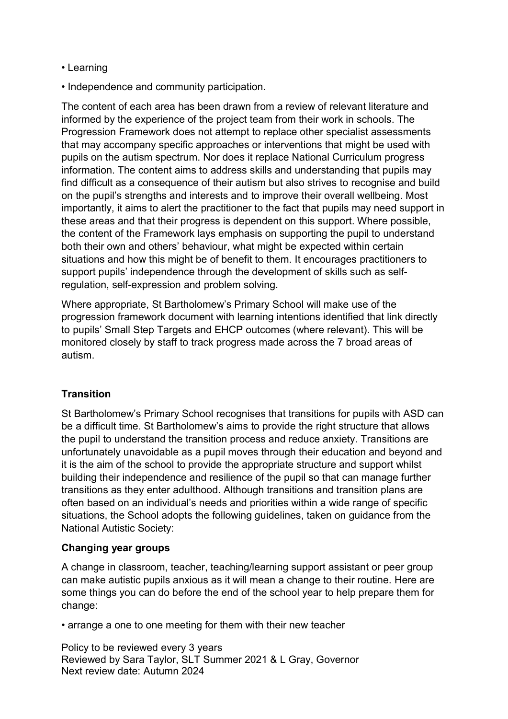- Learning
- Independence and community participation.

The content of each area has been drawn from a review of relevant literature and informed by the experience of the project team from their work in schools. The Progression Framework does not attempt to replace other specialist assessments that may accompany specific approaches or interventions that might be used with pupils on the autism spectrum. Nor does it replace National Curriculum progress information. The content aims to address skills and understanding that pupils may find difficult as a consequence of their autism but also strives to recognise and build on the pupil's strengths and interests and to improve their overall wellbeing. Most importantly, it aims to alert the practitioner to the fact that pupils may need support in these areas and that their progress is dependent on this support. Where possible, the content of the Framework lays emphasis on supporting the pupil to understand both their own and others' behaviour, what might be expected within certain situations and how this might be of benefit to them. It encourages practitioners to support pupils' independence through the development of skills such as selfregulation, self-expression and problem solving.

Where appropriate, St Bartholomew's Primary School will make use of the progression framework document with learning intentions identified that link directly to pupils' Small Step Targets and EHCP outcomes (where relevant). This will be monitored closely by staff to track progress made across the 7 broad areas of autism.

# **Transition**

St Bartholomew's Primary School recognises that transitions for pupils with ASD can be a difficult time. St Bartholomew's aims to provide the right structure that allows the pupil to understand the transition process and reduce anxiety. Transitions are unfortunately unavoidable as a pupil moves through their education and beyond and it is the aim of the school to provide the appropriate structure and support whilst building their independence and resilience of the pupil so that can manage further transitions as they enter adulthood. Although transitions and transition plans are often based on an individual's needs and priorities within a wide range of specific situations, the School adopts the following guidelines, taken on guidance from the National Autistic Society:

### Changing year groups

A change in classroom, teacher, teaching/learning support assistant or peer group can make autistic pupils anxious as it will mean a change to their routine. Here are some things you can do before the end of the school year to help prepare them for change:

• arrange a one to one meeting for them with their new teacher